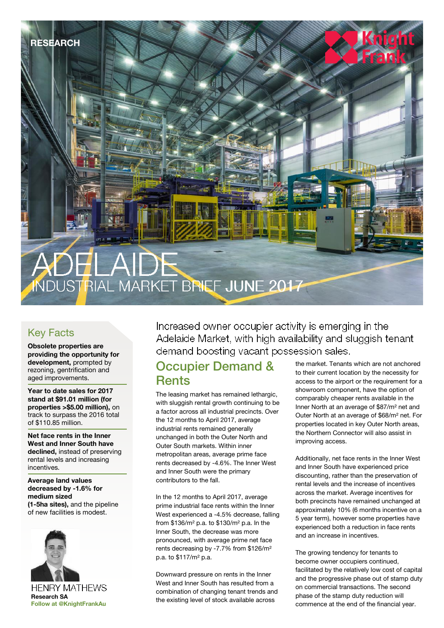

# Key Facts

**Obsolete properties are providing the opportunity for development,** prompted by rezoning, gentrification and aged improvements.

**Year to date sales for 2017 stand at \$91.01 million (for properties >\$5.00 million),** on track to surpass the 2016 total of \$110.85 million.

**Net face rents in the Inner West and Inner South have declined,** instead of preserving rental levels and increasing incentives.

**Average land values decreased by -1.6% for medium sized (1-5ha sites),** and the pipeline of new facilities is modest.



Increased owner occupier activity is emerging in the Adelaide Market, with high availability and sluggish tenant demand boosting vacant possession sales.

# Occupier Demand & **Rents**

The leasing market has remained lethargic, with sluggish rental growth continuing to be a factor across all industrial precincts. Over the 12 months to April 2017, average industrial rents remained generally unchanged in both the Outer North and Outer South markets. Within inner metropolitan areas, average prime face rents decreased by -4.6%. The Inner West and Inner South were the primary contributors to the fall.

In the 12 months to April 2017, average prime industrial face rents within the Inner West experienced a -4.5% decrease, falling from \$136/m² p.a. to \$130/m² p.a. In the Inner South, the decrease was more pronounced, with average prime net face rents decreasing by -7.7% from \$126/m² p.a. to \$117/m² p.a.

Downward pressure on rents in the Inner West and Inner South has resulted from a combination of changing tenant trends and the existing level of stock available across

the market. Tenants which are not anchored to their current location by the necessity for access to the airport or the requirement for a showroom component, have the option of comparably cheaper rents available in the Inner North at an average of \$87/m² net and Outer North at an average of \$68/m² net. For properties located in key Outer North areas, the Northern Connector will also assist in improving access.

Additionally, net face rents in the Inner West and Inner South have experienced price discounting, rather than the preservation of rental levels and the increase of incentives across the market. Average incentives for both precincts have remained unchanged at approximately 10% (6 months incentive on a 5 year term), however some properties have experienced both a reduction in face rents and an increase in incentives.

The growing tendency for tenants to become owner occupiers continued, facilitated by the relatively low cost of capital and the progressive phase out of stamp duty on commercial transactions. The second phase of the stamp duty reduction will commence at the end of the financial year.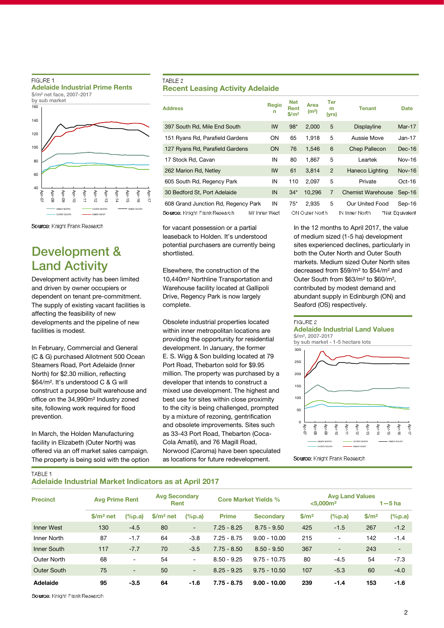## FIGURE 1 **Adelaide Industrial Prime Rents** \$/m² net face, 2007-2017



# Source: Knight Frank Research

# Development & Land Activity

Development activity has been limited and driven by owner occupiers or dependent on tenant pre-commitment. The supply of existing vacant facilities is affecting the feasibility of new developments and the pipeline of new facilities is modest.

In February, Commercial and General (C & G) purchased Allotment 500 Ocean Steamers Road, Port Adelaide (Inner North) for \$2.30 million, reflecting \$64/m². It's understood C & G will construct a purpose built warehouse and office on the 34,990m² Industry zoned site, following work required for flood prevention.

In March, the Holden Manufacturing facility in Elizabeth (Outer North) was offered via an off market sales campaign. The property is being sold with the option

# TABLE 2 **Recent Leasing Activity Adelaide**

| <b>Address</b>                                                                                      | Regio<br>n | <b>Net</b><br><b>Rent</b><br>\$/m <sup>2</sup> | Area<br>(m <sup>2</sup> ) | Ter<br>m<br>(yrs) | Tenant                                   | <b>Date</b>               |
|-----------------------------------------------------------------------------------------------------|------------|------------------------------------------------|---------------------------|-------------------|------------------------------------------|---------------------------|
| 397 South Rd, Mile End South                                                                        | IW         | $98*$                                          | 2,000                     | 5                 | Displayline                              | $Mar-17$                  |
| 151 Ryans Rd, Parafield Gardens                                                                     | <b>ON</b>  | 65                                             | 1.918                     | 5                 | Aussie Move                              | $Jan-17$                  |
| 127 Ryans Rd, Parafield Gardens                                                                     | <b>ON</b>  | 76                                             | 1.546                     | 6                 | <b>Chep Pallecon</b>                     | $Dec-16$                  |
| 17 Stock Rd, Cavan                                                                                  | IN         | 80                                             | 1.867                     | 5                 | Leartek                                  | <b>Nov-16</b>             |
| 262 Marion Rd, Netley                                                                               | IW         | 61                                             | 3.814                     | $\overline{2}$    | Haneco Lighting                          | <b>Nov-16</b>             |
| 605 South Rd, Regency Park                                                                          | IN         | 110                                            | 2.097                     | 5                 | Private                                  | $Oct-16$                  |
| 30 Bedford St, Port Adelaide                                                                        | IN         | $34*$                                          | 10,296                    | $\overline{7}$    | <b>Chemist Warehouse</b>                 | $Sep-16$                  |
| 608 Grand Junction Rd, Regency Park<br><b>Source:</b> Knight Frank Research<br><b>IW Inner West</b> | IN         | $75*$                                          | 2.935<br>ON Outer North   | 5                 | <b>Our United Food</b><br>IN Inner North | Sep-16<br>*Net Equivalent |

for vacant possession or a partial leaseback to Holden. It's understood potential purchasers are currently being shortlisted.

Elsewhere, the construction of the 10,440m² Northline Transportation and Warehouse facility located at Gallipoli Drive, Regency Park is now largely complete.

Obsolete industrial properties located within inner metropolitan locations are providing the opportunity for residential development. In January, the former E. S. Wigg & Son building located at 79 Port Road, Thebarton sold for \$9.95 million. The property was purchased by a developer that intends to construct a mixed use development. The highest and best use for sites within close proximity to the city is being challenged, prompted by a mixture of rezoning, gentrification and obsolete improvements. Sites such as 33-43 Port Road, Thebarton (Coca-Cola Amatil), and 76 Magill Road, Norwood (Caroma) have been speculated as locations for future redevelopment.

In the 12 months to April 2017, the value of medium sized (1-5 ha) development sites experienced declines, particularly in both the Outer North and Outer South markets. Medium sized Outer North sites decreased from \$59/m² to \$54/m² and Outer South from \$63/m² to \$60/m², contributed by modest demand and abundant supply in Edinburgh (ON) and Seaford (OS) respectively.

#### FIGURE 2

## **Adelaide Industrial Land Values** \$/m², 2007-2017





Source: Knight Frank Research

TABLE 1

# **Adelaide Industrial Market Indicators as at April 2017**

| <b>Precinct</b>   | <b>Avg Prime Rent</b> |                 | <b>Avg Secondary</b><br>Rent |                          |               | <b>Core Market Yields %</b> | <b>Avg Land Values</b><br>< 5,000 m <sup>2</sup> |                          | $1 - 5$ ha        |                          |
|-------------------|-----------------------|-----------------|------------------------------|--------------------------|---------------|-----------------------------|--------------------------------------------------|--------------------------|-------------------|--------------------------|
|                   | $$/m2$ net            | $(\%p.a)$       | $$/m2$ net                   | $(\%p.a)$                | <b>Prime</b>  | <b>Secondary</b>            | \$/m <sup>2</sup>                                | $(\%p.a)$                | \$/m <sup>2</sup> | $(\%p.a)$                |
| <b>Inner West</b> | 130                   | $-4.5$          | 80                           | ۰.                       | $7.25 - 8.25$ | $8.75 - 9.50$               | 425                                              | $-1.5$                   | 267               | $-1.2$                   |
| Inner North       | 87                    | $-1.7$          | 64                           | $-3.8$                   | $7.25 - 8.75$ | $9.00 - 10.00$              | 215                                              | $\overline{\phantom{a}}$ | 142               | $-1.4$                   |
| Inner South       | 117                   | $-7.7$          | 70                           | $-3.5$                   | $7.75 - 8.50$ | $8.50 - 9.50$               | 367                                              | $\overline{\phantom{a}}$ | 243               | $\overline{\phantom{a}}$ |
| Outer North       | 68                    | $\qquad \qquad$ | 54                           | $\sim$                   | $8.50 - 9.25$ | $9.75 - 10.75$              | 80                                               | $-4.5$                   | 54                | $-7.3$                   |
| Outer South       | 75                    | $\blacksquare$  | 50                           | $\overline{\phantom{a}}$ | $8.25 - 9.25$ | $9.75 - 10.50$              | 107                                              | $-5.3$                   | 60                | $-4.0$                   |
| Adelaide          | 95                    | $-3.5$          | 64                           | $-1.6$                   | $7.75 - 8.75$ | $9.00 - 10.00$              | 239                                              | $-1.4$                   | 153               | $-1.6$                   |

Source: Knight Frank Research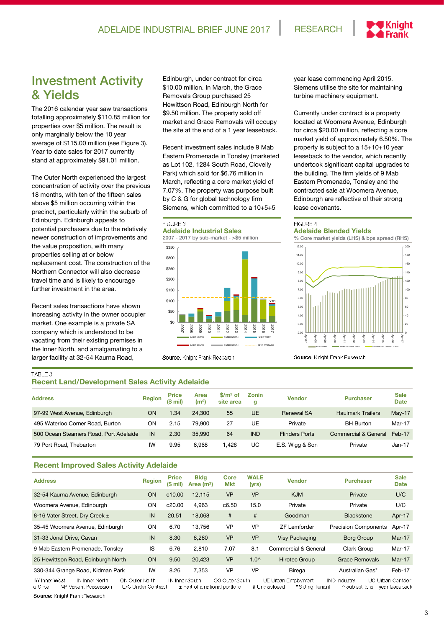

# Investment Activity & Yields

The 2016 calendar year saw transactions totalling approximately \$110.85 million for properties over \$5 million. The result is only marginally below the 10 year average of \$115.00 million (see Figure 3). Year to date sales for 2017 currently stand at approximately \$91.01 million.

The Outer North experienced the largest concentration of activity over the previous 18 months, with ten of the fifteen sales above \$5 million occurring within the precinct, particularly within the suburb of Edinburgh. Edinburgh appeals to potential purchasers due to the relatively newer construction of improvements and the value proposition, with many properties selling at or below replacement cost. The construction of the Northern Connector will also decrease travel time and is likely to encourage further investment in the area.

Recent sales transactions have shown increasing activity in the owner occupier market. One example is a private SA company which is understood to be vacating from their existing premises in the Inner North, and amalgamating to a larger facility at 32-54 Kaurna Road,

Edinburgh, under contract for circa \$10.00 million. In March, the Grace Removals Group purchased 25 Hewittson Road, Edinburgh North for \$9.50 million. The property sold off market and Grace Removals will occupy the site at the end of a 1 year leaseback.

Recent investment sales include 9 Mab Eastern Promenade in Tonsley (marketed as Lot 102, 1284 South Road, Clovelly Park) which sold for \$6.76 million in March, reflecting a core market yield of 7.07%. The property was purpose built by C & G for global technology firm Siemens, which committed to a 10+5+5

# FIGURE 3

**Adelaide Industrial Sales**



Source: Knight Frank Research

year lease commencing April 2015. Siemens utilise the site for maintaining turbine machinery equipment.

Currently under contract is a property located at Woomera Avenue, Edinburgh for circa \$20.00 million, reflecting a core market yield of approximately 6.50%. The property is subject to a 15+10+10 year leaseback to the vendor, which recently undertook significant capital upgrades to the building. The firm yields of 9 Mab Eastern Promenade, Tonsley and the contracted sale at Woomera Avenue, Edinburgh are reflective of their strong lease covenants.

## FIGURE 4

# **Adelaide Blended Yields**



Source: Knight Frank Research

# TABLE 3

# **Recent Land/Development Sales Activity Adelaide**

| <b>Address</b>                         | <b>Region</b> | <b>Price</b><br>$(S \text{ mil})$ | Area<br>(m <sup>2</sup> ) | \$/m <sup>2</sup> of<br>site area | Zonin<br>g | <b>Vendor</b>         | <b>Purchaser</b>         | <b>Sale</b><br><b>Date</b> |
|----------------------------------------|---------------|-----------------------------------|---------------------------|-----------------------------------|------------|-----------------------|--------------------------|----------------------------|
| 97-99 West Avenue, Edinburgh           | <b>ON</b>     | 1.34                              | 24.300                    | 55                                | <b>UE</b>  | <b>Renewal SA</b>     | <b>Haulmark Trailers</b> | $May-17$                   |
| 495 Waterloo Corner Road, Burton       | ΟN            | 2.15                              | 79.900                    | 27                                | UE         | Private               | <b>BH</b> Burton         | Mar-17                     |
| 500 Ocean Steamers Road, Port Adelaide | IN            | 2.30                              | 35.990                    | 64                                | <b>IND</b> | <b>Flinders Ports</b> | Commercial & General     | Feb-17                     |
| 79 Port Road, Thebarton                | IW            | 9.95                              | 6.968                     | 1.428                             | UC         | E.S. Wigg & Son       | Private                  | $Jan-17$                   |

# **Recent Improved Sales Activity Adelaide**

| <b>Address</b>                                                     | <b>Region</b> | <b>Price</b><br>$$$ mil) | <b>Bldg</b><br>Area $(m2)$ | Core<br>Mkt           | <b>WALE</b><br>(yrs) | <b>Vendor</b>             | <b>Purchaser</b>            | <b>Sale</b><br><b>Date</b> |
|--------------------------------------------------------------------|---------------|--------------------------|----------------------------|-----------------------|----------------------|---------------------------|-----------------------------|----------------------------|
| 32-54 Kaurna Avenue, Edinburgh                                     | <b>ON</b>     | c <sub>10.00</sub>       | 12.115                     | <b>VP</b>             | <b>VP</b>            | <b>KJM</b>                | Private                     | U/C                        |
| Woomera Avenue, Edinburgh                                          | ON            | c20.00                   | 4,963                      | c6.50                 | 15.0                 | Private                   | Private                     | U/C                        |
| 8-16 Vater Street, Dry Creek ±                                     | IN            | 20.51                    | 18,068                     | #                     | #                    | Goodman                   | <b>Blackstone</b>           | Apr-17                     |
| 35-45 Woomera Avenue, Edinburgh                                    | ON            | 6.70                     | 13.756                     | <b>VP</b>             | <b>VP</b>            | <b>ZF Lemforder</b>       | <b>Precision Components</b> | Apr-17                     |
| 31-33 Jonal Drive, Cavan                                           | IN            | 8.30                     | 8,280                      | <b>VP</b>             | <b>VP</b>            | <b>Visy Packaging</b>     | <b>Borg Group</b>           | $Mar-17$                   |
| 9 Mab Eastern Promenade, Tonsley                                   | IS            | 6.76                     | 2,810                      | 7.07                  | 8.1                  | Commercial & General      | Clark Group                 | Mar-17                     |
| 25 Hewittson Road, Edinburgh North                                 | ON            | 9.50                     | 20,423                     | <b>VP</b>             | $1.0^$               | <b>Hirotec Group</b>      | <b>Grace Removals</b>       | $Mar-17$                   |
| 330-344 Grange Road, Kidman Park                                   | IW            | 8.26                     | 7.353                      | <b>VP</b>             | <b>VP</b>            | Birega                    | Australian Gas*             | Feb-17                     |
| <b>ONLOUROY MONTH</b><br>IN Linner Morth<br>$1100$ lease $1000e +$ |               | <b>INTIMACCALLE</b>      |                            | <b>OC Outse Couth</b> |                      | LIE Lide on Emericanos of | INTENTIONAL LOCKER          | <b>LIO LIdeon Condor</b>   |

**IW Inner IN Inner North** Duter North South UE Urban F UC Urban Corridor ± Part of a national portfolio \* Sitting Tenant VP Vacant Possession U/C Under Contract # Undisclosed ^ subject to a 1 year leaseback c Circa Source: Knight Frank Research